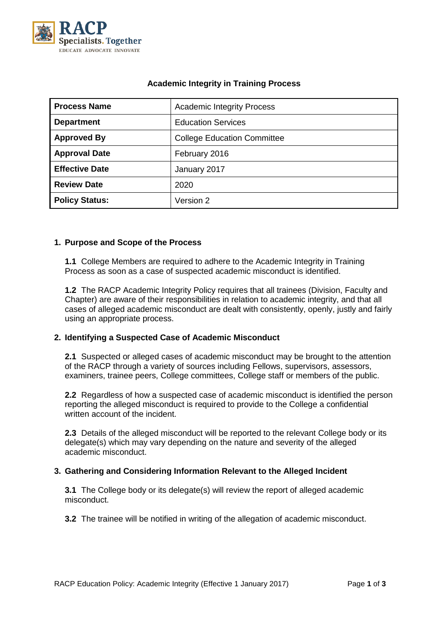

| <b>Process Name</b>   | <b>Academic Integrity Process</b>  |  |  |
|-----------------------|------------------------------------|--|--|
| <b>Department</b>     | <b>Education Services</b>          |  |  |
| <b>Approved By</b>    | <b>College Education Committee</b> |  |  |
| <b>Approval Date</b>  | February 2016                      |  |  |
| <b>Effective Date</b> | January 2017                       |  |  |
| <b>Review Date</b>    | 2020                               |  |  |
| <b>Policy Status:</b> | Version 2                          |  |  |

# **Academic Integrity in Training Process**

# **1. Purpose and Scope of the Process**

**1.1** College Members are required to adhere to the Academic Integrity in Training Process as soon as a case of suspected academic misconduct is identified.

**1.2** The RACP Academic Integrity Policy requires that all trainees (Division, Faculty and Chapter) are aware of their responsibilities in relation to academic integrity, and that all cases of alleged academic misconduct are dealt with consistently, openly, justly and fairly using an appropriate process.

# **2. Identifying a Suspected Case of Academic Misconduct**

**2.1** Suspected or alleged cases of academic misconduct may be brought to the attention of the RACP through a variety of sources including Fellows, supervisors, assessors, examiners, trainee peers, College committees, College staff or members of the public.

**2.2** Regardless of how a suspected case of academic misconduct is identified the person reporting the alleged misconduct is required to provide to the College a confidential written account of the incident.

**2.3** Details of the alleged misconduct will be reported to the relevant College body or its delegate(s) which may vary depending on the nature and severity of the alleged academic misconduct.

# **3. Gathering and Considering Information Relevant to the Alleged Incident**

**3.1** The College body or its delegate(s) will review the report of alleged academic misconduct.

**3.2** The trainee will be notified in writing of the allegation of academic misconduct.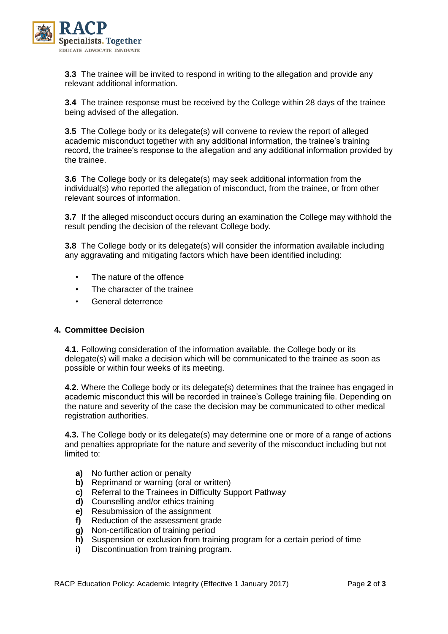

**3.3** The trainee will be invited to respond in writing to the allegation and provide any relevant additional information.

**3.4** The trainee response must be received by the College within 28 days of the trainee being advised of the allegation.

**3.5** The College body or its delegate(s) will convene to review the report of alleged academic misconduct together with any additional information, the trainee's training record, the trainee's response to the allegation and any additional information provided by the trainee.

**3.6** The College body or its delegate(s) may seek additional information from the individual(s) who reported the allegation of misconduct, from the trainee, or from other relevant sources of information.

**3.7** If the alleged misconduct occurs during an examination the College may withhold the result pending the decision of the relevant College body.

**3.8** The College body or its delegate(s) will consider the information available including any aggravating and mitigating factors which have been identified including:

- The nature of the offence
- The character of the trainee
- General deterrence

#### **4. Committee Decision**

**4.1.** Following consideration of the information available, the College body or its delegate(s) will make a decision which will be communicated to the trainee as soon as possible or within four weeks of its meeting.

**4.2.** Where the College body or its delegate(s) determines that the trainee has engaged in academic misconduct this will be recorded in trainee's College training file. Depending on the nature and severity of the case the decision may be communicated to other medical registration authorities.

**4.3.** The College body or its delegate(s) may determine one or more of a range of actions and penalties appropriate for the nature and severity of the misconduct including but not limited to:

- **a)** No further action or penalty
- **b)** Reprimand or warning (oral or written)
- **c)** Referral to the Trainees in Difficulty Support Pathway
- **d)** Counselling and/or ethics training
- **e)** Resubmission of the assignment
- **f)** Reduction of the assessment grade
- **g)** Non-certification of training period
- **h)** Suspension or exclusion from training program for a certain period of time
- **i)** Discontinuation from training program.